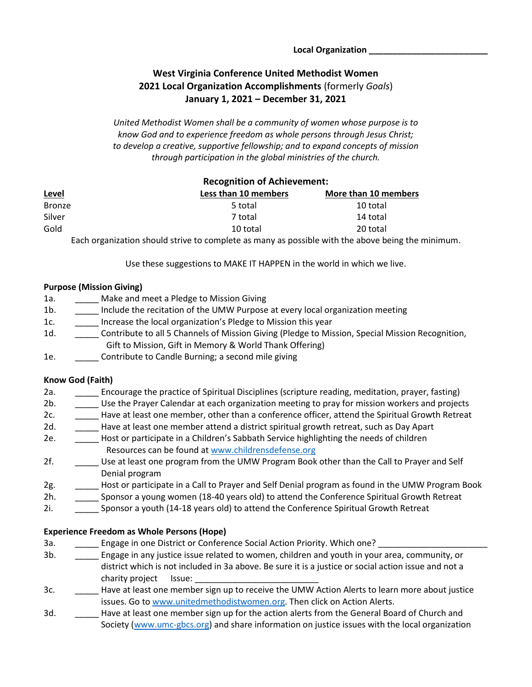# **West Virginia Conference United Methodist Women 2021 Local Organization Accomplishments** (formerly *Goals*) **January 1, 2021 – December 31, 2021**

*United Methodist Women shall be a community of women whose purpose is to know God and to experience freedom as whole persons through Jesus Christ; to develop a creative, supportive fellowship; and to expand concepts of mission through participation in the global ministries of the church.* 

|               | <b>Recognition of Achievement:</b> |                      |
|---------------|------------------------------------|----------------------|
| <u>Level</u>  | Less than 10 members               | More than 10 members |
| <b>Bronze</b> | 5 total                            | 10 total             |
| Silver        | 7 total                            | 14 total             |
| Gold          | 10 total                           | 20 total             |
|               |                                    |                      |

Each organization should strive to complete as many as possible with the above being the minimum.

Use these suggestions to MAKE IT HAPPEN in the world in which we live.

#### **Purpose (Mission Giving)**

- 1a. \_\_\_\_\_\_ Make and meet a Pledge to Mission Giving
- 1b. \_\_\_\_\_\_ Include the recitation of the UMW Purpose at every local organization meeting
- 1c. **Increase the local organization's Pledge to Mission this year**
- 1d. **Example 1 Contribute to all 5 Channels of Mission Giving (Pledge to Mission, Special Mission Recognition,** Gift to Mission, Gift in Memory & World Thank Offering)
- 1e. \_\_\_\_\_ Contribute to Candle Burning; a second mile giving

### **Know God (Faith)**

- 2a. \_\_\_\_\_ Encourage the practice of Spiritual Disciplines (scripture reading, meditation, prayer, fasting)
- 2b. \_\_\_\_\_ Use the Prayer Calendar at each organization meeting to pray for mission workers and projects
- 2c. \_\_\_\_\_\_\_ Have at least one member, other than a conference officer, attend the Spiritual Growth Retreat
- 2d. \_\_\_\_\_ Have at least one member attend a district spiritual growth retreat, such as Day Apart
- 2e. \_\_\_\_\_ Host or participate in a Children's Sabbath Service highlighting the needs of children Resources can be found at [www.childrensdefense.org](http://www.childrensdefense.org/)
- 2f. \_\_\_\_\_ Use at least one program from the UMW Program Book other than the Call to Prayer and Self Denial program
- 2g. \_\_\_\_\_ Host or participate in a Call to Prayer and Self Denial program as found in the UMW Program Book

2h. \_\_\_\_\_ Sponsor a young women (18-40 years old) to attend the Conference Spiritual Growth Retreat

2i. \_\_\_\_\_ Sponsor a youth (14-18 years old) to attend the Conference Spiritual Growth Retreat

### **Experience Freedom as Whole Persons (Hope)**

- 3a. \_\_\_\_\_\_\_\_\_ Engage in one District or Conference Social Action Priority. Which one?
- 3b. \_\_\_\_\_ Engage in any justice issue related to women, children and youth in your area, community, or district which is not included in 3a above. Be sure it is a justice or social action issue and not a charity project Issue:
- 3c. \_\_\_\_\_\_ Have at least one member sign up to receive the UMW Action Alerts to learn more about justice issues. Go to [www.unitedmethodistwomen.org.](http://www.unitedmethodistwomen.org/) Then click on Action Alerts.
- 3d. \_\_\_\_\_ Have at least one member sign up for the action alerts from the General Board of Church and Society [\(www.umc-gbcs.org\)](http://www.umc-gbcs.org/) and share information on justice issues with the local organization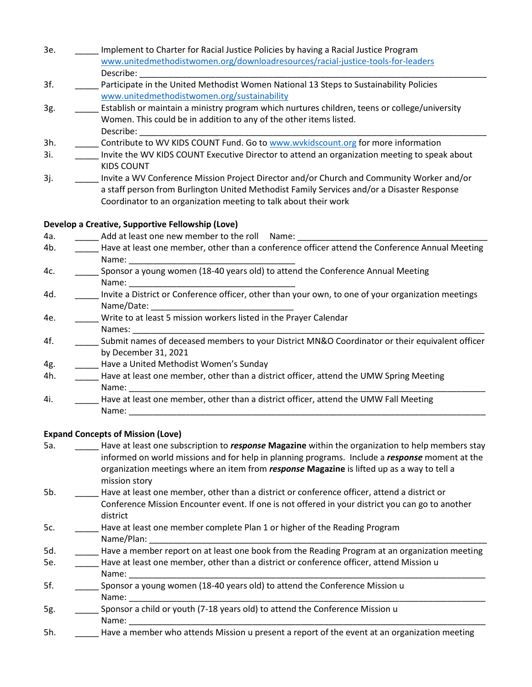- 3e. \_\_\_\_\_ Implement to Charter for Racial Justice Policies by having a Racial Justice Program [www.unitedmethodistwomen.org/downloadresources/racial-justice-tools-for-leaders](http://www.unitedmethodistwomen.org/downloadresources/racial-justice-tools-for-leaders) Describe: \_\_\_\_\_\_\_\_\_\_\_\_\_\_\_\_\_\_\_\_\_\_\_\_\_\_\_\_\_\_\_\_\_\_\_\_\_\_\_\_\_\_\_\_\_\_\_\_\_\_\_\_\_\_\_\_\_\_\_\_\_\_\_\_\_\_\_\_\_\_\_\_\_
- 3f. \_\_\_\_\_ Participate in the United Methodist Women National 13 Steps to Sustainability Policies [www.unitedmethodistwomen.org/sustainability](http://www.unitedmethodistwomen.org/sustainability)
- 3g. \_\_\_\_\_\_ Establish or maintain a ministry program which nurtures children, teens or college/university Women. This could be in addition to any of the other items listed. Describe: \_\_\_\_\_\_\_\_\_\_\_\_\_\_\_\_\_\_\_\_\_\_\_\_\_\_\_\_\_\_\_\_\_\_\_\_\_\_\_\_\_\_\_\_\_\_\_\_\_\_\_\_\_\_\_\_\_\_\_\_\_\_\_\_\_\_\_\_\_\_\_\_\_
- 3h. Contribute to WV KIDS COUNT Fund. Go to [www.wvkidscount.org](http://www.wvkidscount.org/) for more information
- 3i. \_\_\_\_\_ Invite the WV KIDS COUNT Executive Director to attend an organization meeting to speak about KIDS COUNT
- 3j. \_\_\_\_\_ Invite a WV Conference Mission Project Director and/or Church and Community Worker and/or a staff person from Burlington United Methodist Family Services and/or a Disaster Response Coordinator to an organization meeting to talk about their work

### **Develop a Creative, Supportive Fellowship (Love)**

4a. \_\_\_\_\_\_\_\_\_\_\_\_ Add at least one new member to the roll Name: 4b. \_\_\_\_\_\_ Have at least one member, other than a conference officer attend the Conference Annual Meeting Name: 4c. \_\_\_\_\_ Sponsor a young women (18-40 years old) to attend the Conference Annual Meeting Name: 4d. \_\_\_\_\_ Invite a District or Conference officer, other than your own, to one of your organization meetings Name/Date: 4e. \_\_\_\_\_ Write to at least 5 mission workers listed in the Prayer Calendar Names: \_\_\_\_\_\_\_\_\_\_\_\_\_\_\_\_\_\_\_\_\_\_\_\_\_\_\_\_\_\_\_\_\_\_\_\_\_\_\_\_\_\_\_\_\_\_\_\_\_\_\_\_\_\_\_\_\_\_\_\_\_\_\_\_\_\_\_\_\_\_\_\_\_\_ 4f. \_\_\_\_\_ Submit names of deceased members to your District MN&O Coordinator or their equivalent officer by December 31, 2021 4g. **\_\_\_\_\_** Have a United Methodist Women's Sunday 4h. **Have at least one member, other than a district officer, attend the UMW Spring Meeting**  Name: \_\_\_\_\_\_\_\_\_\_\_\_\_\_\_\_\_\_\_\_\_\_\_\_\_\_\_\_\_\_\_\_\_\_\_\_\_\_\_\_\_\_\_\_\_\_\_\_\_\_\_\_\_\_\_\_\_\_\_\_\_\_\_\_\_\_\_\_\_\_\_\_\_\_\_ 4i. **Have at least one member, other than a district officer, attend the UMW Fall Meeting** Name:

## **Expand Concepts of Mission (Love)**

| 5a. | Have at least one subscription to response Magazine within the organization to help members stay |  |
|-----|--------------------------------------------------------------------------------------------------|--|
|     | informed on world missions and for help in planning programs. Include a response moment at the   |  |
|     | organization meetings where an item from response Magazine is lifted up as a way to tell a       |  |
|     | mission story                                                                                    |  |
| 5b. | Have at least one member, other than a district or conference officer, attend a district or      |  |
|     | Conference Mission Encounter event. If one is not offered in your district you can go to another |  |
|     | district                                                                                         |  |
| 5c. | Have at least one member complete Plan 1 or higher of the Reading Program                        |  |
|     | Name/Plan:                                                                                       |  |
| 5d. | Have a member report on at least one book from the Reading Program at an organization meeting    |  |
| 5e. | Have at least one member, other than a district or conference officer, attend Mission u          |  |
|     | Name:                                                                                            |  |
| 5f. | Sponsor a young women (18-40 years old) to attend the Conference Mission u                       |  |
|     | Name:                                                                                            |  |
| 5g. | Sponsor a child or youth (7-18 years old) to attend the Conference Mission u                     |  |
|     | Name:                                                                                            |  |
| 5h. | Have a member who attends Mission u present a report of the event at an organization meeting     |  |